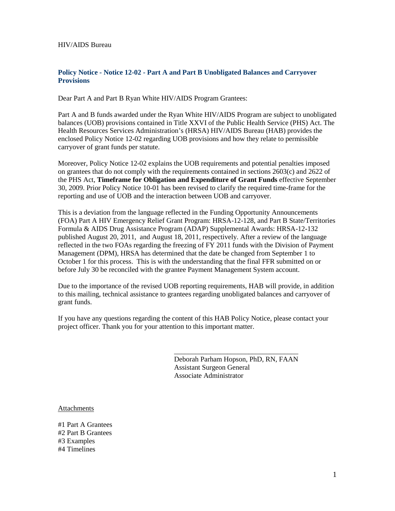HIV/AIDS Bureau

#### **Policy Notice - Notice 12-02 - Part A and Part B Unobligated Balances and Carryover Provisions**

Dear Part A and Part B Ryan White HIV/AIDS Program Grantees:

Part A and B funds awarded under the Ryan White HIV/AIDS Program are subject to unobligated balances (UOB) provisions contained in Title XXVI of the Public Health Service (PHS) Act. The Health Resources Services Administration's (HRSA) HIV/AIDS Bureau (HAB) provides the enclosed Policy Notice 12-02 regarding UOB provisions and how they relate to permissible carryover of grant funds per statute.

Moreover, Policy Notice 12-02 explains the UOB requirements and potential penalties imposed on grantees that do not comply with the requirements contained in sections 2603(c) and 2622 of the PHS Act, **Timeframe for Obligation and Expenditure of Grant Funds** effective September 30, 2009. Prior Policy Notice 10-01 has been revised to clarify the required time-frame for the reporting and use of UOB and the interaction between UOB and carryover.

This is a deviation from the language reflected in the Funding Opportunity Announcements (FOA) Part A HIV Emergency Relief Grant Program: HRSA-12-128, and Part B State/Territories Formula & AIDS Drug Assistance Program (ADAP) Supplemental Awards: HRSA-12-132 published August 20, 2011, and August 18, 2011, respectively. After a review of the language reflected in the two FOAs regarding the freezing of FY 2011 funds with the Division of Payment Management (DPM), HRSA has determined that the date be changed from September 1 to October 1 for this process. This is with the understanding that the final FFR submitted on or before July 30 be reconciled with the grantee Payment Management System account.

Due to the importance of the revised UOB reporting requirements, HAB will provide, in addition to this mailing, technical assistance to grantees regarding unobligated balances and carryover of grant funds.

If you have any questions regarding the content of this HAB Policy Notice, please contact your project officer. Thank you for your attention to this important matter.

> Deborah Parham Hopson, PhD, RN, FAAN Assistant Surgeon General Associate Administrator

\_\_\_\_\_\_\_\_\_\_\_\_\_\_\_\_\_\_\_\_\_\_\_\_\_\_\_\_\_\_\_\_\_\_\_

Attachments

#1 Part A Grantees #2 Part B Grantees #3 Examples #4 Timelines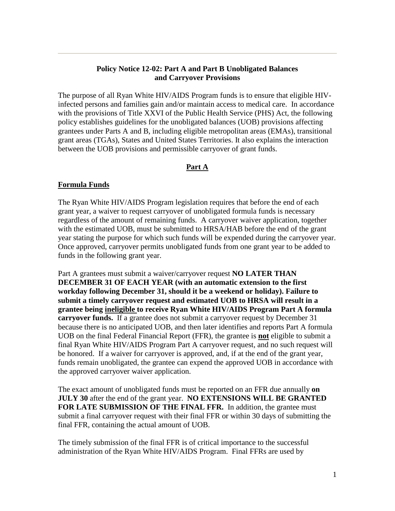### **Policy Notice 12-02: Part A and Part B Unobligated Balances and Carryover Provisions**

The purpose of all Ryan White HIV/AIDS Program funds is to ensure that eligible HIVinfected persons and families gain and/or maintain access to medical care. In accordance with the provisions of Title XXVI of the Public Health Service (PHS) Act, the following policy establishes guidelines for the unobligated balances (UOB) provisions affecting grantees under Parts A and B, including eligible metropolitan areas (EMAs), transitional grant areas (TGAs), States and United States Territories. It also explains the interaction between the UOB provisions and permissible carryover of grant funds.

### **Part A**

### **Formula Funds**

The Ryan White HIV/AIDS Program legislation requires that before the end of each grant year, a waiver to request carryover of unobligated formula funds is necessary regardless of the amount of remaining funds. A carryover waiver application, together with the estimated UOB, must be submitted to HRSA/HAB before the end of the grant year stating the purpose for which such funds will be expended during the carryover year. Once approved, carryover permits unobligated funds from one grant year to be added to funds in the following grant year.

Part A grantees must submit a waiver/carryover request **NO LATER THAN DECEMBER 31 OF EACH YEAR (with an automatic extension to the first workday following December 31, should it be a weekend or holiday). Failure to submit a timely carryover request and estimated UOB to HRSA will result in a grantee being ineligible to receive Ryan White HIV/AIDS Program Part A formula carryover funds.** If a grantee does not submit a carryover request by December 31 because there is no anticipated UOB, and then later identifies and reports Part A formula UOB on the final Federal Financial Report (FFR), the grantee is **not** eligible to submit a final Ryan White HIV/AIDS Program Part A carryover request, and no such request will be honored. If a waiver for carryover is approved, and, if at the end of the grant year, funds remain unobligated, the grantee can expend the approved UOB in accordance with the approved carryover waiver application.

The exact amount of unobligated funds must be reported on an FFR due annually **on JULY 30** after the end of the grant year. **NO EXTENSIONS WILL BE GRANTED**  FOR LATE SUBMISSION OF THE FINAL FFR. In addition, the grantee must submit a final carryover request with their final FFR or within 30 days of submitting the final FFR, containing the actual amount of UOB.

The timely submission of the final FFR is of critical importance to the successful administration of the Ryan White HIV/AIDS Program. Final FFRs are used by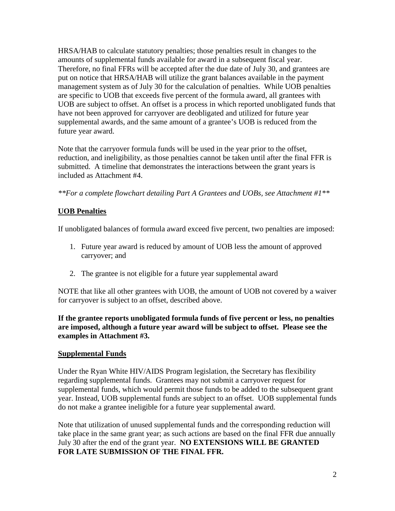HRSA/HAB to calculate statutory penalties; those penalties result in changes to the amounts of supplemental funds available for award in a subsequent fiscal year. Therefore, no final FFRs will be accepted after the due date of July 30, and grantees are put on notice that HRSA/HAB will utilize the grant balances available in the payment management system as of July 30 for the calculation of penalties. While UOB penalties are specific to UOB that exceeds five percent of the formula award, all grantees with UOB are subject to offset. An offset is a process in which reported unobligated funds that have not been approved for carryover are deobligated and utilized for future year supplemental awards, and the same amount of a grantee's UOB is reduced from the future year award.

Note that the carryover formula funds will be used in the year prior to the offset, reduction, and ineligibility, as those penalties cannot be taken until after the final FFR is submitted. A timeline that demonstrates the interactions between the grant years is included as Attachment #4.

*\*\*For a complete flowchart detailing Part A Grantees and UOBs, see Attachment #1\*\**

## **UOB Penalties**

If unobligated balances of formula award exceed five percent, two penalties are imposed:

- 1. Future year award is reduced by amount of UOB less the amount of approved carryover; and
- 2. The grantee is not eligible for a future year supplemental award

NOTE that like all other grantees with UOB, the amount of UOB not covered by a waiver for carryover is subject to an offset, described above.

**If the grantee reports unobligated formula funds of five percent or less, no penalties are imposed, although a future year award will be subject to offset. Please see the examples in Attachment #3.**

### **Supplemental Funds**

Under the Ryan White HIV/AIDS Program legislation, the Secretary has flexibility regarding supplemental funds. Grantees may not submit a carryover request for supplemental funds, which would permit those funds to be added to the subsequent grant year. Instead, UOB supplemental funds are subject to an offset. UOB supplemental funds do not make a grantee ineligible for a future year supplemental award.

Note that utilization of unused supplemental funds and the corresponding reduction will take place in the same grant year; as such actions are based on the final FFR due annually July 30 after the end of the grant year. **NO EXTENSIONS WILL BE GRANTED FOR LATE SUBMISSION OF THE FINAL FFR.**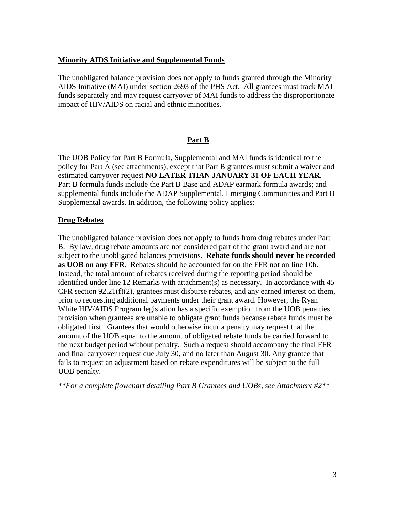### **Minority AIDS Initiative and Supplemental Funds**

The unobligated balance provision does not apply to funds granted through the Minority AIDS Initiative (MAI) under section 2693 of the PHS Act. All grantees must track MAI funds separately and may request carryover of MAI funds to address the disproportionate impact of HIV/AIDS on racial and ethnic minorities.

### **Part B**

The UOB Policy for Part B Formula, Supplemental and MAI funds is identical to the policy for Part A (see attachments), except that Part B grantees must submit a waiver and estimated carryover request **NO LATER THAN JANUARY 31 OF EACH YEAR**. Part B formula funds include the Part B Base and ADAP earmark formula awards; and supplemental funds include the ADAP Supplemental, Emerging Communities and Part B Supplemental awards. In addition, the following policy applies:

### **Drug Rebates**

The unobligated balance provision does not apply to funds from drug rebates under Part B. By law, drug rebate amounts are not considered part of the grant award and are not subject to the unobligated balances provisions. **Rebate funds should never be recorded as UOB on any FFR.** Rebates should be accounted for on the FFR not on line 10b. Instead, the total amount of rebates received during the reporting period should be identified under line 12 Remarks with attachment(s) as necessary. In accordance with  $45$ CFR section  $92.21(f)(2)$ , grantees must disburse rebates, and any earned interest on them, prior to requesting additional payments under their grant award. However, the Ryan White HIV/AIDS Program legislation has a specific exemption from the UOB penalties provision when grantees are unable to obligate grant funds because rebate funds must be obligated first. Grantees that would otherwise incur a penalty may request that the amount of the UOB equal to the amount of obligated rebate funds be carried forward to the next budget period without penalty. Such a request should accompany the final FFR and final carryover request due July 30, and no later than August 30. Any grantee that fails to request an adjustment based on rebate expenditures will be subject to the full UOB penalty.

*\*\*For a complete flowchart detailing Part B Grantees and UOBs, see Attachment #2\*\**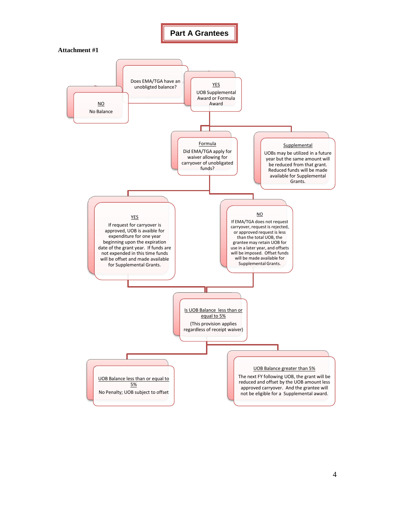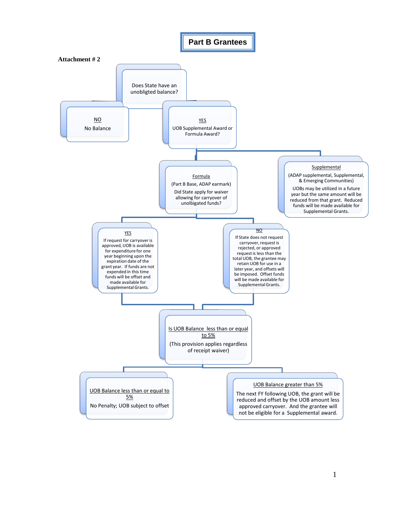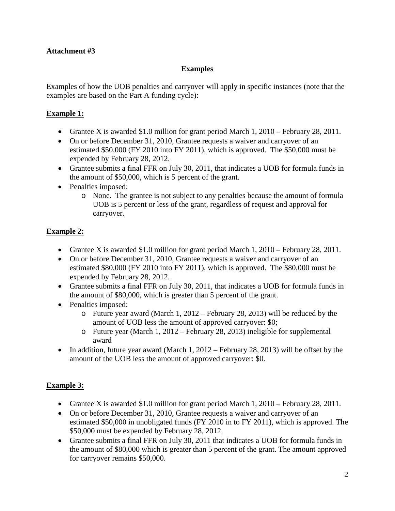### **Examples**

Examples of how the UOB penalties and carryover will apply in specific instances (note that the examples are based on the Part A funding cycle):

## **Example 1:**

- Grantee X is awarded \$1.0 million for grant period March 1, 2010 February 28, 2011.
- On or before December 31, 2010, Grantee requests a waiver and carryover of an estimated \$50,000 (FY 2010 into FY 2011), which is approved. The \$50,000 must be expended by February 28, 2012.
- Grantee submits a final FFR on July 30, 2011, that indicates a UOB for formula funds in the amount of \$50,000, which is 5 percent of the grant.
- Penalties imposed:
	- o None. The grantee is not subject to any penalties because the amount of formula UOB is 5 percent or less of the grant, regardless of request and approval for carryover.

# **Example 2:**

- Grantee X is awarded \$1.0 million for grant period March 1, 2010 February 28, 2011.
- On or before December 31, 2010, Grantee requests a waiver and carryover of an estimated \$80,000 (FY 2010 into FY 2011), which is approved. The \$80,000 must be expended by February 28, 2012.
- Grantee submits a final FFR on July 30, 2011, that indicates a UOB for formula funds in the amount of \$80,000, which is greater than 5 percent of the grant.
- Penalties imposed:
	- o Future year award (March 1, 2012 February 28, 2013) will be reduced by the amount of UOB less the amount of approved carryover: \$0;
	- o Future year (March 1, 2012 February 28, 2013) ineligible for supplemental award
- In addition, future year award (March 1, 2012 February 28, 2013) will be offset by the amount of the UOB less the amount of approved carryover: \$0.

# **Example 3:**

- Grantee X is awarded \$1.0 million for grant period March 1, 2010 February 28, 2011.
- On or before December 31, 2010, Grantee requests a waiver and carryover of an estimated \$50,000 in unobligated funds (FY 2010 in to FY 2011), which is approved. The \$50,000 must be expended by February 28, 2012.
- Grantee submits a final FFR on July 30, 2011 that indicates a UOB for formula funds in the amount of \$80,000 which is greater than 5 percent of the grant. The amount approved for carryover remains \$50,000.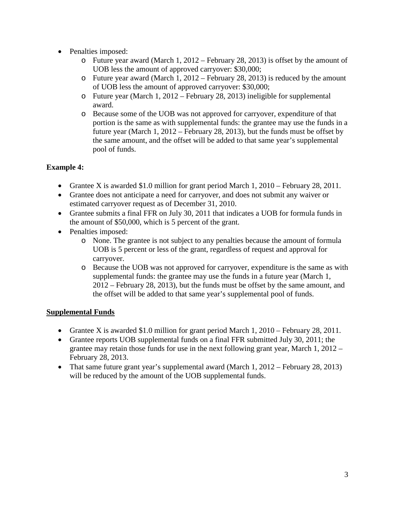- Penalties imposed:
	- o Future year award (March 1, 2012 February 28, 2013) is offset by the amount of UOB less the amount of approved carryover: \$30,000;
	- o Future year award (March 1, 2012 February 28, 2013) is reduced by the amount of UOB less the amount of approved carryover: \$30,000;
	- o Future year (March 1, 2012 February 28, 2013) ineligible for supplemental award.
	- o Because some of the UOB was not approved for carryover, expenditure of that portion is the same as with supplemental funds: the grantee may use the funds in a future year (March 1, 2012 – February 28, 2013), but the funds must be offset by the same amount, and the offset will be added to that same year's supplemental pool of funds.

# **Example 4:**

- Grantee X is awarded \$1.0 million for grant period March 1, 2010 February 28, 2011.
- Grantee does not anticipate a need for carryover, and does not submit any waiver or estimated carryover request as of December 31, 2010.
- Grantee submits a final FFR on July 30, 2011 that indicates a UOB for formula funds in the amount of \$50,000, which is 5 percent of the grant.
- Penalties imposed:
	- o None. The grantee is not subject to any penalties because the amount of formula UOB is 5 percent or less of the grant, regardless of request and approval for carryover.
	- o Because the UOB was not approved for carryover, expenditure is the same as with supplemental funds: the grantee may use the funds in a future year (March 1, 2012 – February 28, 2013), but the funds must be offset by the same amount, and the offset will be added to that same year's supplemental pool of funds.

# **Supplemental Funds**

- Grantee X is awarded \$1.0 million for grant period March 1, 2010 February 28, 2011.
- Grantee reports UOB supplemental funds on a final FFR submitted July 30, 2011; the grantee may retain those funds for use in the next following grant year, March 1, 2012 – February 28, 2013.
- That same future grant year's supplemental award (March 1, 2012 February 28, 2013) will be reduced by the amount of the UOB supplemental funds.